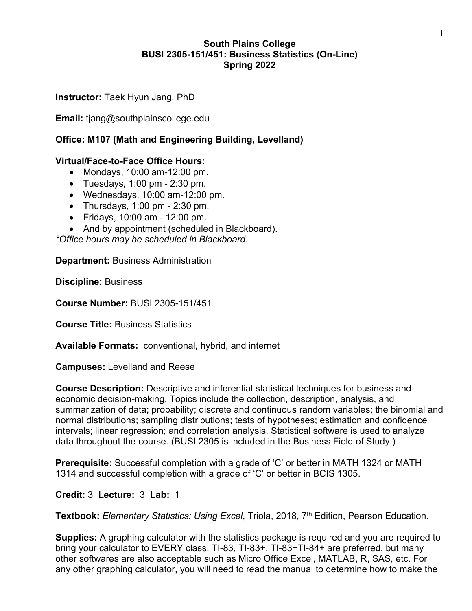## **South Plains College BUSI 2305-151/451: Business Statistics (On-Line) Spring 2022**

**Instructor:** Taek Hyun Jang, PhD

**Email:** tjang@southplainscollege.edu

# **Office: M107 (Math and Engineering Building, Levelland)**

## **Virtual/Face-to-Face Office Hours:**

- Mondays, 10:00 am-12:00 pm.
- Tuesdays, 1:00 pm 2:30 pm.
- Wednesdays, 10:00 am-12:00 pm.
- Thursdays,  $1:00 \text{ pm} 2:30 \text{ pm}$ .
- Fridays, 10:00 am 12:00 pm.
- And by appointment (scheduled in Blackboard).

*\*Office hours may be scheduled in Blackboard.*

**Department:** Business Administration

**Discipline:** Business

**Course Number:** BUSI 2305-151/451

**Course Title:** Business Statistics

**Available Formats:** conventional, hybrid, and internet

**Campuses:** Levelland and Reese

**Course Description:** Descriptive and inferential statistical techniques for business and economic decision-making. Topics include the collection, description, analysis, and summarization of data; probability; discrete and continuous random variables; the binomial and normal distributions; sampling distributions; tests of hypotheses; estimation and confidence intervals; linear regression; and correlation analysis. Statistical software is used to analyze data throughout the course. (BUSI 2305 is included in the Business Field of Study.)

**Prerequisite:** Successful completion with a grade of 'C' or better in MATH 1324 or MATH 1314 and successful completion with a grade of 'C' or better in BCIS 1305.

### **Credit:** 3 **Lecture:** 3 **Lab:** 1

**Textbook:** *Elementary Statistics: Using Excel*, Triola, 2018, 7th Edition, Pearson Education.

**Supplies:** A graphing calculator with the statistics package is required and you are required to bring your calculator to EVERY class. TI-83, TI-83+, TI-83+TI-84+ are preferred, but many other softwares are also acceptable such as Micro Office Excel, MATLAB, R, SAS, etc. For any other graphing calculator, you will need to read the manual to determine how to make the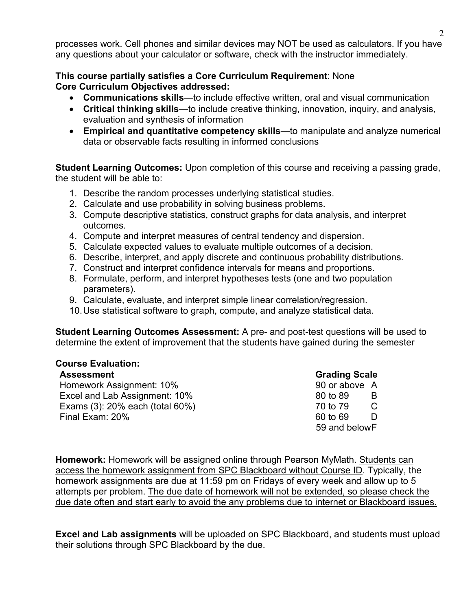processes work. Cell phones and similar devices may NOT be used as calculators. If you have any questions about your calculator or software, check with the instructor immediately.

#### **This course partially satisfies a Core Curriculum Requirement**: None **Core Curriculum Objectives addressed:**

- **Communications skills**—to include effective written, oral and visual communication
- **Critical thinking skills**—to include creative thinking, innovation, inquiry, and analysis, evaluation and synthesis of information
- **Empirical and quantitative competency skills**—to manipulate and analyze numerical data or observable facts resulting in informed conclusions

**Student Learning Outcomes:** Upon completion of this course and receiving a passing grade, the student will be able to:

- 1. Describe the random processes underlying statistical studies.
- 2. Calculate and use probability in solving business problems.
- 3. Compute descriptive statistics, construct graphs for data analysis, and interpret outcomes.
- 4. Compute and interpret measures of central tendency and dispersion.
- 5. Calculate expected values to evaluate multiple outcomes of a decision.
- 6. Describe, interpret, and apply discrete and continuous probability distributions.
- 7. Construct and interpret confidence intervals for means and proportions.
- 8. Formulate, perform, and interpret hypotheses tests (one and two population parameters).
- 9. Calculate, evaluate, and interpret simple linear correlation/regression.
- 10.Use statistical software to graph, compute, and analyze statistical data.

**Student Learning Outcomes Assessment:** A pre- and post-test questions will be used to determine the extent of improvement that the students have gained during the semester

# **Course Evaluation:**

| <b>Assessment</b>               | <b>Grading Scale</b> |
|---------------------------------|----------------------|
| Homework Assignment: 10%        | 90 or above A        |
| Excel and Lab Assignment: 10%   | 80 to 89             |
| Exams (3): 20% each (total 60%) | 70 to 79             |
| Final Exam: 20%                 | 60 to 69             |
|                                 | 59 and belowF        |

**Homework:** Homework will be assigned online through Pearson MyMath. Students can access the homework assignment from SPC Blackboard without Course ID. Typically, the homework assignments are due at 11:59 pm on Fridays of every week and allow up to 5 attempts per problem. The due date of homework will not be extended, so please check the due date often and start early to avoid the any problems due to internet or Blackboard issues.

**Excel and Lab assignments** will be uploaded on SPC Blackboard, and students must upload their solutions through SPC Blackboard by the due.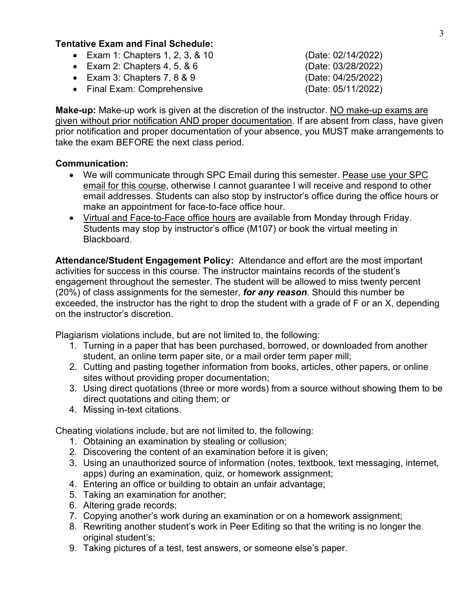## **Tentative Exam and Final Schedule:**

- Exam 1: Chapters 1, 2, 3, & 10 (Date: 02/14/2022)
- Exam 2: Chapters 4, 5, & 6 (Date: 03/28/2022)
- Exam 3: Chapters 7, 8 & 9 (Date: 04/25/2022)
- Final Exam: Comprehensive (Date: 05/11/2022)

**Make-up:** Make-up work is given at the discretion of the instructor. NO make-up exams are given without prior notification AND proper documentation. If are absent from class, have given prior notification and proper documentation of your absence, you MUST make arrangements to take the exam BEFORE the next class period.

### **Communication:**

- We will communicate through SPC Email during this semester. Pease use your SPC email for this course, otherwise I cannot guarantee I will receive and respond to other email addresses. Students can also stop by instructor's office during the office hours or make an appointment for face-to-face office hour.
- Virtual and Face-to-Face office hours are available from Monday through Friday. Students may stop by instructor's office (M107) or book the virtual meeting in Blackboard.

**Attendance/Student Engagement Policy:** Attendance and effort are the most important activities for success in this course. The instructor maintains records of the student's engagement throughout the semester. The student will be allowed to miss twenty percent (20%) of class assignments for the semester, *for any reason*. Should this number be exceeded, the instructor has the right to drop the student with a grade of F or an X, depending on the instructor's discretion.

Plagiarism violations include, but are not limited to, the following:

- 1. Turning in a paper that has been purchased, borrowed, or downloaded from another student, an online term paper site, or a mail order term paper mill;
- 2. Cutting and pasting together information from books, articles, other papers, or online sites without providing proper documentation;
- 3. Using direct quotations (three or more words) from a source without showing them to be direct quotations and citing them; or
- 4. Missing in-text citations.

Cheating violations include, but are not limited to, the following:

- 1. Obtaining an examination by stealing or collusion;
- 2. Discovering the content of an examination before it is given;
- 3. Using an unauthorized source of information (notes, textbook, text messaging, internet, apps) during an examination, quiz, or homework assignment;
- 4. Entering an office or building to obtain an unfair advantage;
- 5. Taking an examination for another;
- 6. Altering grade records;
- 7. Copying another's work during an examination or on a homework assignment;
- 8. Rewriting another student's work in Peer Editing so that the writing is no longer the original student's;
- 9. Taking pictures of a test, test answers, or someone else's paper.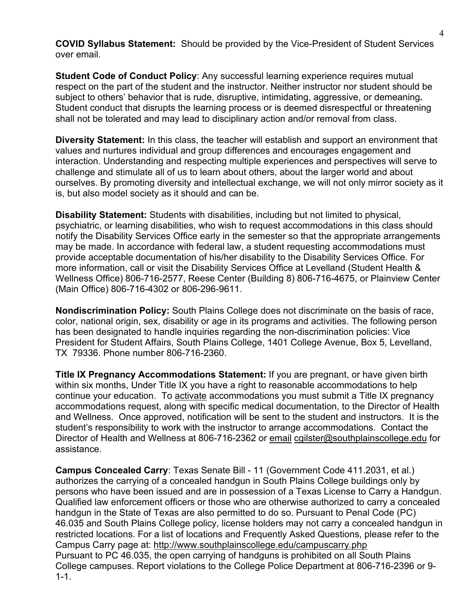**COVID Syllabus Statement:** Should be provided by the Vice-President of Student Services over email.

**Student Code of Conduct Policy**: Any successful learning experience requires mutual respect on the part of the student and the instructor. Neither instructor nor student should be subject to others' behavior that is rude, disruptive, intimidating, aggressive, or demeaning**.**  Student conduct that disrupts the learning process or is deemed disrespectful or threatening shall not be tolerated and may lead to disciplinary action and/or removal from class.

**Diversity Statement:** In this class, the teacher will establish and support an environment that values and nurtures individual and group differences and encourages engagement and interaction. Understanding and respecting multiple experiences and perspectives will serve to challenge and stimulate all of us to learn about others, about the larger world and about ourselves. By promoting diversity and intellectual exchange, we will not only mirror society as it is, but also model society as it should and can be.

**Disability Statement:** Students with disabilities, including but not limited to physical, psychiatric, or learning disabilities, who wish to request accommodations in this class should notify the Disability Services Office early in the semester so that the appropriate arrangements may be made. In accordance with federal law, a student requesting accommodations must provide acceptable documentation of his/her disability to the Disability Services Office. For more information, call or visit the Disability Services Office at Levelland (Student Health & Wellness Office) 806-716-2577, Reese Center (Building 8) 806-716-4675, or Plainview Center (Main Office) 806-716-4302 or 806-296-9611.

**Nondiscrimination Policy:** South Plains College does not discriminate on the basis of race, color, national origin, sex, disability or age in its programs and activities. The following person has been designated to handle inquiries regarding the non-discrimination policies: Vice President for Student Affairs, South Plains College, 1401 College Avenue, Box 5, Levelland, TX 79336. Phone number 806-716-2360.

**Title IX Pregnancy Accommodations Statement:** If you are pregnant, or have given birth within six months, Under Title IX you have a right to reasonable accommodations to help continue your education. To [activate](http://www.southplainscollege.edu/employees/manualshandbooks/facultyhandbook/sec4.php) accommodations you must submit a Title IX pregnancy accommodations request, along with specific medical documentation, to the Director of Health and Wellness. Once approved, notification will be sent to the student and instructors. It is the student's responsibility to work with the instructor to arrange accommodations. Contact the Director of Health and Wellness at 806-716-2362 or [email](http://www.southplainscollege.edu/employees/manualshandbooks/facultyhandbook/sec4.php) [cgilster@southplainscollege.edu](mailto:cgilster@southplainscollege.edu) for assistance.

**Campus Concealed Carry**: Texas Senate Bill - 11 (Government Code 411.2031, et al.) authorizes the carrying of a concealed handgun in South Plains College buildings only by persons who have been issued and are in possession of a Texas License to Carry a Handgun. Qualified law enforcement officers or those who are otherwise authorized to carry a concealed handgun in the State of Texas are also permitted to do so. Pursuant to Penal Code (PC) 46.035 and South Plains College policy, license holders may not carry a concealed handgun in restricted locations. For a list of locations and Frequently Asked Questions, please refer to the Campus Carry page at: <http://www.southplainscollege.edu/campuscarry.php> Pursuant to PC 46.035, the open carrying of handguns is prohibited on all South Plains College campuses. Report violations to the College Police Department at 806-716-2396 or 9- 1-1.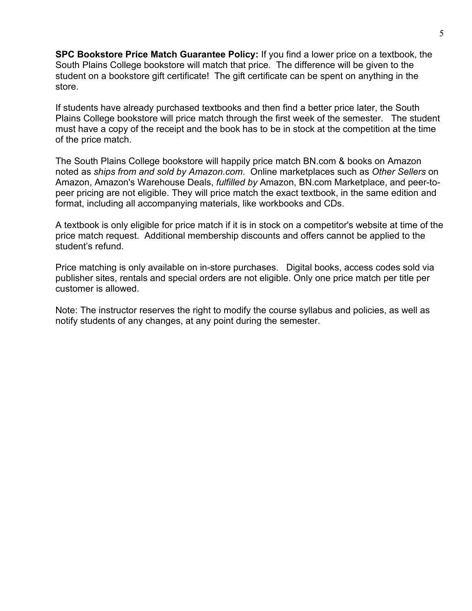**SPC Bookstore Price Match Guarantee Policy:** If you find a lower price on a textbook, the South Plains College bookstore will match that price. The difference will be given to the student on a bookstore gift certificate! The gift certificate can be spent on anything in the store.

If students have already purchased textbooks and then find a better price later, the South Plains College bookstore will price match through the first week of the semester. The student must have a copy of the receipt and the book has to be in stock at the competition at the time of the price match.

The South Plains College bookstore will happily price match BN.com & books on Amazon noted as *ships from and sold by Amazon.com*. Online marketplaces such as *Other Sellers* on Amazon, Amazon's Warehouse Deals, *fulfilled by* Amazon, BN.com Marketplace, and peer-topeer pricing are not eligible. They will price match the exact textbook, in the same edition and format, including all accompanying materials, like workbooks and CDs.

A textbook is only eligible for price match if it is in stock on a competitor's website at time of the price match request. Additional membership discounts and offers cannot be applied to the student's refund.

Price matching is only available on in-store purchases. Digital books, access codes sold via publisher sites, rentals and special orders are not eligible. Only one price match per title per customer is allowed.

Note: The instructor reserves the right to modify the course syllabus and policies, as well as notify students of any changes, at any point during the semester.